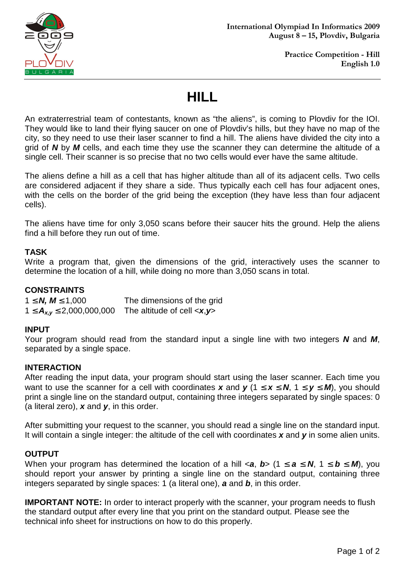

# **HILL**

An extraterrestrial team of contestants, known as "the aliens", is coming to Plovdiv for the IOI. They would like to land their flying saucer on one of Plovdiv's hills, but they have no map of the city, so they need to use their laser scanner to find a hill. The aliens have divided the city into a grid of **N** by **M** cells, and each time they use the scanner they can determine the altitude of a single cell. Their scanner is so precise that no two cells would ever have the same altitude.

The aliens define a hill as a cell that has higher altitude than all of its adjacent cells. Two cells are considered adjacent if they share a side. Thus typically each cell has four adjacent ones, with the cells on the border of the grid being the exception (they have less than four adjacent cells).

The aliens have time for only 3,050 scans before their saucer hits the ground. Help the aliens find a hill before they run out of time.

### **TASK**

Write a program that, given the dimensions of the grid, interactively uses the scanner to determine the location of a hill, while doing no more than 3,050 scans in total.

#### **CONSTRAINTS**

| $1 \le N$ , $M \le 1,000$           | The dimensions of the grid                  |
|-------------------------------------|---------------------------------------------|
| $1 \leq A_{x,y} \leq 2,000,000,000$ | The altitude of cell $\langle x, y \rangle$ |

#### **INPUT**

Your program should read from the standard input a single line with two integers **N** and **M**, separated by a single space.

#### **INTERACTION**

After reading the input data, your program should start using the laser scanner. Each time you want to use the scanner for a cell with coordinates **x** and **y** ( $1 \le x \le N$ ,  $1 \le y \le M$ ), you should print a single line on the standard output, containing three integers separated by single spaces: 0 (a literal zero), **x** and **y**, in this order.

After submitting your request to the scanner, you should read a single line on the standard input. It will contain a single integer: the altitude of the cell with coordinates **x** and **y** in some alien units.

#### **OUTPUT**

When your program has determined the location of a hill  $\le a$ , **b**> (1  $\le a \le N$ , 1  $\le b \le M$ ), you should report your answer by printing a single line on the standard output, containing three integers separated by single spaces: 1 (a literal one), **a** and **b**, in this order.

**IMPORTANT NOTE:** In order to interact properly with the scanner, your program needs to flush the standard output after every line that you print on the standard output. Please see the technical info sheet for instructions on how to do this properly.